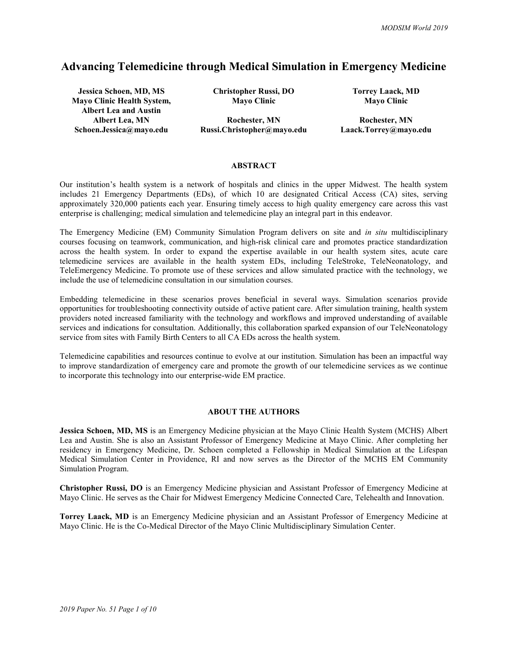# Advancing Telemedicine through Medical Simulation in Emergency Medicine

Jessica Schoen, MD, MS Christopher Russi, DO Torrey Laack, MD Mayo Clinic Health System, Albert Lea and Austin

Mayo Clinic Mayo Clinic

Albert Lea, MN Rochester, MN Rochester, MN Schoen.Jessica@mayo.edu Russi.Christopher@mayo.edu Laack.Torrey@mayo.edu

#### ABSTRACT

Our institution's health system is a network of hospitals and clinics in the upper Midwest. The health system includes 21 Emergency Departments (EDs), of which 10 are designated Critical Access (CA) sites, serving approximately 320,000 patients each year. Ensuring timely access to high quality emergency care across this vast enterprise is challenging; medical simulation and telemedicine play an integral part in this endeavor.

The Emergency Medicine (EM) Community Simulation Program delivers on site and in situ multidisciplinary courses focusing on teamwork, communication, and high-risk clinical care and promotes practice standardization across the health system. In order to expand the expertise available in our health system sites, acute care telemedicine services are available in the health system EDs, including TeleStroke, TeleNeonatology, and TeleEmergency Medicine. To promote use of these services and allow simulated practice with the technology, we include the use of telemedicine consultation in our simulation courses.

Embedding telemedicine in these scenarios proves beneficial in several ways. Simulation scenarios provide opportunities for troubleshooting connectivity outside of active patient care. After simulation training, health system providers noted increased familiarity with the technology and workflows and improved understanding of available services and indications for consultation. Additionally, this collaboration sparked expansion of our TeleNeonatology service from sites with Family Birth Centers to all CA EDs across the health system.

Telemedicine capabilities and resources continue to evolve at our institution. Simulation has been an impactful way to improve standardization of emergency care and promote the growth of our telemedicine services as we continue to incorporate this technology into our enterprise-wide EM practice.

## ABOUT THE AUTHORS

Jessica Schoen, MD, MS is an Emergency Medicine physician at the Mayo Clinic Health System (MCHS) Albert Lea and Austin. She is also an Assistant Professor of Emergency Medicine at Mayo Clinic. After completing her residency in Emergency Medicine, Dr. Schoen completed a Fellowship in Medical Simulation at the Lifespan Medical Simulation Center in Providence, RI and now serves as the Director of the MCHS EM Community Simulation Program.

Christopher Russi, DO is an Emergency Medicine physician and Assistant Professor of Emergency Medicine at Mayo Clinic. He serves as the Chair for Midwest Emergency Medicine Connected Care, Telehealth and Innovation.

Torrey Laack, MD is an Emergency Medicine physician and an Assistant Professor of Emergency Medicine at Mayo Clinic. He is the Co-Medical Director of the Mayo Clinic Multidisciplinary Simulation Center.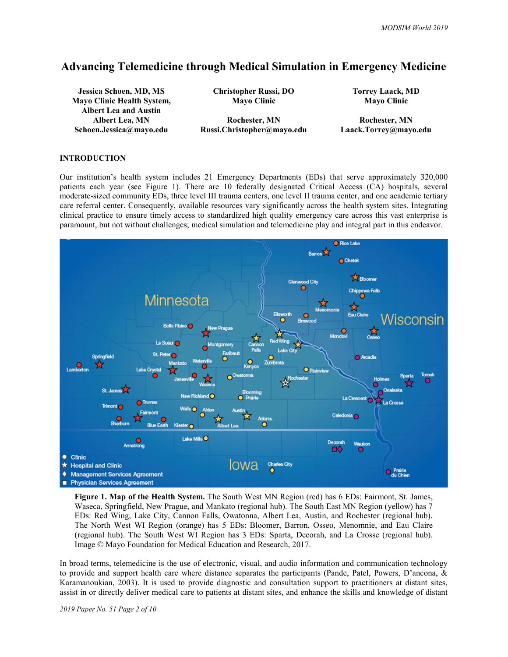# Advancing Telemedicine through Medical Simulation in Emergency Medicine

Jessica Schoen, MD, MS Christopher Russi, DO Torrey Laack, MD Mayo Clinic Health System, Albert Lea and Austin

Mayo Clinic Mayo Clinic

Albert Lea, MN Rochester, MN Rochester, MN Schoen.Jessica@mayo.edu Russi.Christopher@mayo.edu Laack.Torrey@mayo.edu

### INTRODUCTION

Our institution's health system includes 21 Emergency Departments (EDs) that serve approximately 320,000 patients each year (see Figure 1). There are 10 federally designated Critical Access (CA) hospitals, several moderate-sized community EDs, three level III trauma centers, one level II trauma center, and one academic tertiary care referral center. Consequently, available resources vary significantly across the health system sites. Integrating clinical practice to ensure timely access to standardized high quality emergency care across this vast enterprise is paramount, but not without challenges; medical simulation and telemedicine play and integral part in this endeavor.



Figure 1. Map of the Health System. The South West MN Region (red) has 6 EDs: Fairmont, St. James, Waseca, Springfield, New Prague, and Mankato (regional hub). The South East MN Region (yellow) has 7 EDs: Red Wing, Lake City, Cannon Falls, Owatonna, Albert Lea, Austin, and Rochester (regional hub). The North West WI Region (orange) has 5 EDs: Bloomer, Barron, Osseo, Menomnie, and Eau Claire (regional hub). The South West WI Region has 3 EDs: Sparta, Decorah, and La Crosse (regional hub). Image © Mayo Foundation for Medical Education and Research, 2017.

In broad terms, telemedicine is the use of electronic, visual, and audio information and communication technology to provide and support health care where distance separates the participants (Pande, Patel, Powers, D'ancona, & Karamanoukian, 2003). It is used to provide diagnostic and consultation support to practitioners at distant sites, assist in or directly deliver medical care to patients at distant sites, and enhance the skills and knowledge of distant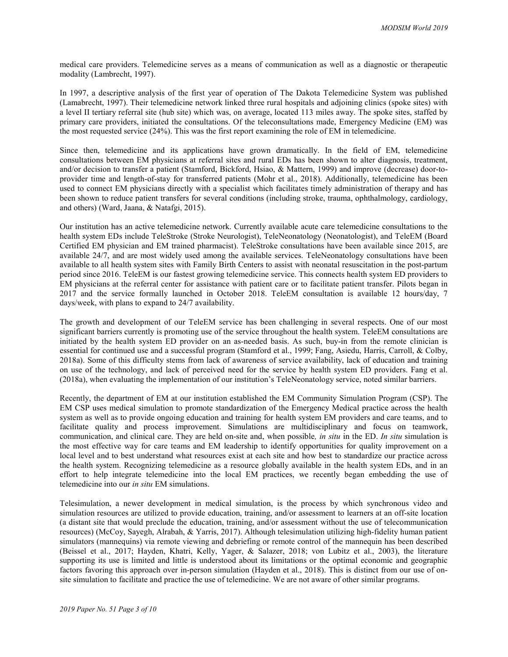medical care providers. Telemedicine serves as a means of communication as well as a diagnostic or therapeutic modality (Lambrecht, 1997).

In 1997, a descriptive analysis of the first year of operation of The Dakota Telemedicine System was published (Lamabrecht, 1997). Their telemedicine network linked three rural hospitals and adjoining clinics (spoke sites) with a level II tertiary referral site (hub site) which was, on average, located 113 miles away. The spoke sites, staffed by primary care providers, initiated the consultations. Of the teleconsultations made, Emergency Medicine (EM) was the most requested service (24%). This was the first report examining the role of EM in telemedicine.

Since then, telemedicine and its applications have grown dramatically. In the field of EM, telemedicine consultations between EM physicians at referral sites and rural EDs has been shown to alter diagnosis, treatment, and/or decision to transfer a patient (Stamford, Bickford, Hsiao, & Mattern, 1999) and improve (decrease) door-toprovider time and length-of-stay for transferred patients (Mohr et al., 2018). Additionally, telemedicine has been used to connect EM physicians directly with a specialist which facilitates timely administration of therapy and has been shown to reduce patient transfers for several conditions (including stroke, trauma, ophthalmology, cardiology, and others) (Ward, Jaana, & Natafgi, 2015).

Our institution has an active telemedicine network. Currently available acute care telemedicine consultations to the health system EDs include TeleStroke (Stroke Neurologist), TeleNeonatology (Neonatologist), and TeleEM (Board Certified EM physician and EM trained pharmacist). TeleStroke consultations have been available since 2015, are available 24/7, and are most widely used among the available services. TeleNeonatology consultations have been available to all health system sites with Family Birth Centers to assist with neonatal resuscitation in the post-partum period since 2016. TeleEM is our fastest growing telemedicine service. This connects health system ED providers to EM physicians at the referral center for assistance with patient care or to facilitate patient transfer. Pilots began in 2017 and the service formally launched in October 2018. TeleEM consultation is available 12 hours/day, 7 days/week, with plans to expand to 24/7 availability.

The growth and development of our TeleEM service has been challenging in several respects. One of our most significant barriers currently is promoting use of the service throughout the health system. TeleEM consultations are initiated by the health system ED provider on an as-needed basis. As such, buy-in from the remote clinician is essential for continued use and a successful program (Stamford et al., 1999; Fang, Asiedu, Harris, Carroll, & Colby, 2018a). Some of this difficulty stems from lack of awareness of service availability, lack of education and training on use of the technology, and lack of perceived need for the service by health system ED providers. Fang et al. (2018a), when evaluating the implementation of our institution's TeleNeonatology service, noted similar barriers.

Recently, the department of EM at our institution established the EM Community Simulation Program (CSP). The EM CSP uses medical simulation to promote standardization of the Emergency Medical practice across the health system as well as to provide ongoing education and training for health system EM providers and care teams, and to facilitate quality and process improvement. Simulations are multidisciplinary and focus on teamwork, communication, and clinical care. They are held on-site and, when possible, in situ in the ED. In situ simulation is the most effective way for care teams and EM leadership to identify opportunities for quality improvement on a local level and to best understand what resources exist at each site and how best to standardize our practice across the health system. Recognizing telemedicine as a resource globally available in the health system EDs, and in an effort to help integrate telemedicine into the local EM practices, we recently began embedding the use of telemedicine into our in situ EM simulations.

Telesimulation, a newer development in medical simulation, is the process by which synchronous video and simulation resources are utilized to provide education, training, and/or assessment to learners at an off-site location (a distant site that would preclude the education, training, and/or assessment without the use of telecommunication resources) (McCoy, Sayegh, Alrabah, & Yarris, 2017). Although telesimulation utilizing high-fidelity human patient simulators (mannequins) via remote viewing and debriefing or remote control of the mannequin has been described (Beissel et al., 2017; Hayden, Khatri, Kelly, Yager, & Salazer, 2018; von Lubitz et al., 2003), the literature supporting its use is limited and little is understood about its limitations or the optimal economic and geographic factors favoring this approach over in-person simulation (Hayden et al., 2018). This is distinct from our use of onsite simulation to facilitate and practice the use of telemedicine. We are not aware of other similar programs.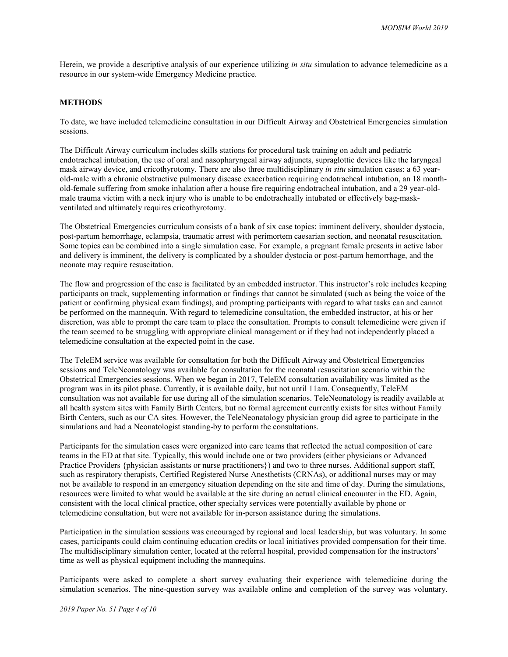Herein, we provide a descriptive analysis of our experience utilizing in situ simulation to advance telemedicine as a resource in our system-wide Emergency Medicine practice.

### METHODS

To date, we have included telemedicine consultation in our Difficult Airway and Obstetrical Emergencies simulation sessions.

The Difficult Airway curriculum includes skills stations for procedural task training on adult and pediatric endotracheal intubation, the use of oral and nasopharyngeal airway adjuncts, supraglottic devices like the laryngeal mask airway device, and cricothyrotomy. There are also three multidisciplinary in situ simulation cases: a 63 yearold-male with a chronic obstructive pulmonary disease exacerbation requiring endotracheal intubation, an 18 monthold-female suffering from smoke inhalation after a house fire requiring endotracheal intubation, and a 29 year-oldmale trauma victim with a neck injury who is unable to be endotracheally intubated or effectively bag-maskventilated and ultimately requires cricothyrotomy.

The Obstetrical Emergencies curriculum consists of a bank of six case topics: imminent delivery, shoulder dystocia, post-partum hemorrhage, eclampsia, traumatic arrest with perimortem caesarian section, and neonatal resuscitation. Some topics can be combined into a single simulation case. For example, a pregnant female presents in active labor and delivery is imminent, the delivery is complicated by a shoulder dystocia or post-partum hemorrhage, and the neonate may require resuscitation.

The flow and progression of the case is facilitated by an embedded instructor. This instructor's role includes keeping participants on track, supplementing information or findings that cannot be simulated (such as being the voice of the patient or confirming physical exam findings), and prompting participants with regard to what tasks can and cannot be performed on the mannequin. With regard to telemedicine consultation, the embedded instructor, at his or her discretion, was able to prompt the care team to place the consultation. Prompts to consult telemedicine were given if the team seemed to be struggling with appropriate clinical management or if they had not independently placed a telemedicine consultation at the expected point in the case.

The TeleEM service was available for consultation for both the Difficult Airway and Obstetrical Emergencies sessions and TeleNeonatology was available for consultation for the neonatal resuscitation scenario within the Obstetrical Emergencies sessions. When we began in 2017, TeleEM consultation availability was limited as the program was in its pilot phase. Currently, it is available daily, but not until 11am. Consequently, TeleEM consultation was not available for use during all of the simulation scenarios. TeleNeonatology is readily available at all health system sites with Family Birth Centers, but no formal agreement currently exists for sites without Family Birth Centers, such as our CA sites. However, the TeleNeonatology physician group did agree to participate in the simulations and had a Neonatologist standing-by to perform the consultations.

Participants for the simulation cases were organized into care teams that reflected the actual composition of care teams in the ED at that site. Typically, this would include one or two providers (either physicians or Advanced Practice Providers {physician assistants or nurse practitioners}) and two to three nurses. Additional support staff, such as respiratory therapists, Certified Registered Nurse Anesthetists (CRNAs), or additional nurses may or may not be available to respond in an emergency situation depending on the site and time of day. During the simulations, resources were limited to what would be available at the site during an actual clinical encounter in the ED. Again, consistent with the local clinical practice, other specialty services were potentially available by phone or telemedicine consultation, but were not available for in-person assistance during the simulations.

Participation in the simulation sessions was encouraged by regional and local leadership, but was voluntary. In some cases, participants could claim continuing education credits or local initiatives provided compensation for their time. The multidisciplinary simulation center, located at the referral hospital, provided compensation for the instructors' time as well as physical equipment including the mannequins.

Participants were asked to complete a short survey evaluating their experience with telemedicine during the simulation scenarios. The nine-question survey was available online and completion of the survey was voluntary.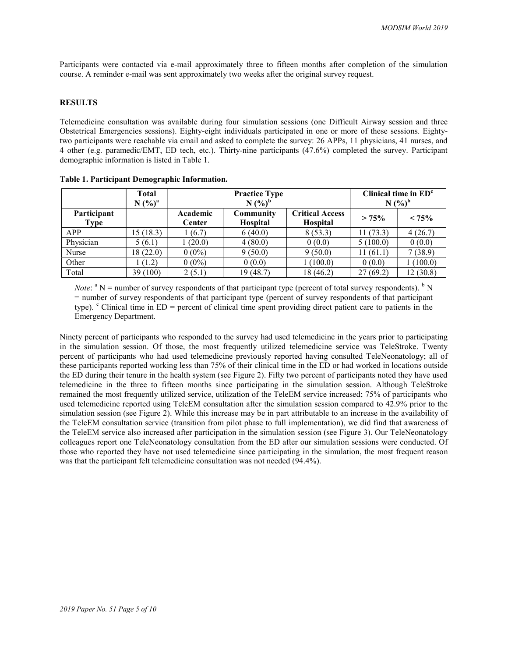Participants were contacted via e-mail approximately three to fifteen months after completion of the simulation course. A reminder e-mail was sent approximately two weeks after the original survey request.

## RESULTS

Telemedicine consultation was available during four simulation sessions (one Difficult Airway session and three Obstetrical Emergencies sessions). Eighty-eight individuals participated in one or more of these sessions. Eightytwo participants were reachable via email and asked to complete the survey: 26 APPs, 11 physicians, 41 nurses, and 4 other (e.g. paramedic/EMT, ED tech, etc.). Thirty-nine participants (47.6%) completed the survey. Participant demographic information is listed in Table 1.

|                            | <b>Total</b><br>N (%) <sup>a</sup> | <b>Practice Type</b><br>$N$ $(\%)^b$ |                              |                                           | Clinical time in $EDc$<br>$N$ $(\frac{9}{6})^b$ |          |
|----------------------------|------------------------------------|--------------------------------------|------------------------------|-------------------------------------------|-------------------------------------------------|----------|
| Participant<br><b>Type</b> |                                    | Academic<br>Center                   | Community<br><b>Hospital</b> | <b>Critical Access</b><br><b>Hospital</b> | > 75%                                           | $< 75\%$ |
| <b>APP</b>                 | 15 (18.3)                          | (6.7)                                | 6(40.0)                      | 8(53.3)                                   | 11(73.3)                                        | 4(26.7)  |
| Physician                  | 5(6.1)                             | 1(20.0)                              | 4(80.0)                      | 0(0.0)                                    | 5(100.0)                                        | 0(0.0)   |
| Nurse                      | 18 (22.0)                          | $0(0\%)$                             | 9(50.0)                      | 9(50.0)                                   | 11(61.1)                                        | 7(38.9)  |
| Other                      | 1(1.2)                             | $0(0\%)$                             | 0(0.0)                       | 1(100.0)                                  | 0(0.0)                                          | (100.0)  |
| Total                      | 39 (100)                           | 2(5.1)                               | 19 (48.7)                    | 18 (46.2)                                 | 27(69.2)                                        | 12(30.8) |

Table 1. Participant Demographic Information.

*Note*:  $^{\circ}$  N = number of survey respondents of that participant type (percent of total survey respondents).  $^{\circ}$  N = number of survey respondents of that participant type (percent of survey respondents of that participant type).  $\degree$  Clinical time in ED = percent of clinical time spent providing direct patient care to patients in the Emergency Department.

Ninety percent of participants who responded to the survey had used telemedicine in the years prior to participating in the simulation session. Of those, the most frequently utilized telemedicine service was TeleStroke. Twenty percent of participants who had used telemedicine previously reported having consulted TeleNeonatology; all of these participants reported working less than 75% of their clinical time in the ED or had worked in locations outside the ED during their tenure in the health system (see Figure 2). Fifty two percent of participants noted they have used telemedicine in the three to fifteen months since participating in the simulation session. Although TeleStroke remained the most frequently utilized service, utilization of the TeleEM service increased; 75% of participants who used telemedicine reported using TeleEM consultation after the simulation session compared to 42.9% prior to the simulation session (see Figure 2). While this increase may be in part attributable to an increase in the availability of the TeleEM consultation service (transition from pilot phase to full implementation), we did find that awareness of the TeleEM service also increased after participation in the simulation session (see Figure 3). Our TeleNeonatology colleagues report one TeleNeonatology consultation from the ED after our simulation sessions were conducted. Of those who reported they have not used telemedicine since participating in the simulation, the most frequent reason was that the participant felt telemedicine consultation was not needed (94.4%).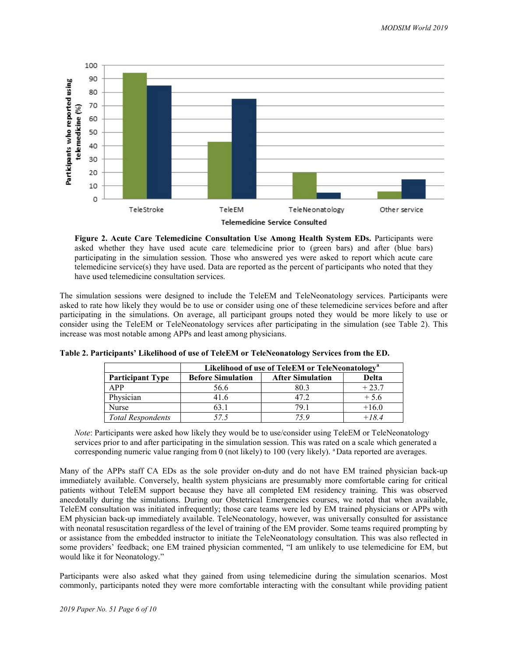

Figure 2. Acute Care Telemedicine Consultation Use Among Health System EDs. Participants were asked whether they have used acute care telemedicine prior to (green bars) and after (blue bars) participating in the simulation session. Those who answered yes were asked to report which acute care telemedicine service(s) they have used. Data are reported as the percent of participants who noted that they have used telemedicine consultation services.

The simulation sessions were designed to include the TeleEM and TeleNeonatology services. Participants were asked to rate how likely they would be to use or consider using one of these telemedicine services before and after participating in the simulations. On average, all participant groups noted they would be more likely to use or consider using the TeleEM or TeleNeonatology services after participating in the simulation (see Table 2). This increase was most notable among APPs and least among physicians.

|                          | Likelihood of use of TeleEM or TeleNeonatology <sup>a</sup> |                         |         |  |  |
|--------------------------|-------------------------------------------------------------|-------------------------|---------|--|--|
| <b>Participant Type</b>  | <b>Before Simulation</b>                                    | <b>After Simulation</b> | Delta   |  |  |
| <b>APP</b>               | 56.6                                                        | 80.3                    | $+23.7$ |  |  |
| Physician                | 41.6                                                        | 47.2                    | $+5.6$  |  |  |
| <b>Nurse</b>             | 63.1                                                        | 79.1                    | $+16.0$ |  |  |
| <b>Total Respondents</b> | 575                                                         | 75 Q                    | $+184$  |  |  |

Table 2. Participants' Likelihood of use of TeleEM or TeleNeonatology Services from the ED.

Note: Participants were asked how likely they would be to use/consider using TeleEM or TeleNeonatology services prior to and after participating in the simulation session. This was rated on a scale which generated a corresponding numeric value ranging from 0 (not likely) to 100 (very likely). <sup>a</sup>Data reported are averages.

Many of the APPs staff CA EDs as the sole provider on-duty and do not have EM trained physician back-up immediately available. Conversely, health system physicians are presumably more comfortable caring for critical patients without TeleEM support because they have all completed EM residency training. This was observed anecdotally during the simulations. During our Obstetrical Emergencies courses, we noted that when available, TeleEM consultation was initiated infrequently; those care teams were led by EM trained physicians or APPs with EM physician back-up immediately available. TeleNeonatology, however, was universally consulted for assistance with neonatal resuscitation regardless of the level of training of the EM provider. Some teams required prompting by or assistance from the embedded instructor to initiate the TeleNeonatology consultation. This was also reflected in some providers' feedback; one EM trained physician commented, "I am unlikely to use telemedicine for EM, but would like it for Neonatology."

Participants were also asked what they gained from using telemedicine during the simulation scenarios. Most commonly, participants noted they were more comfortable interacting with the consultant while providing patient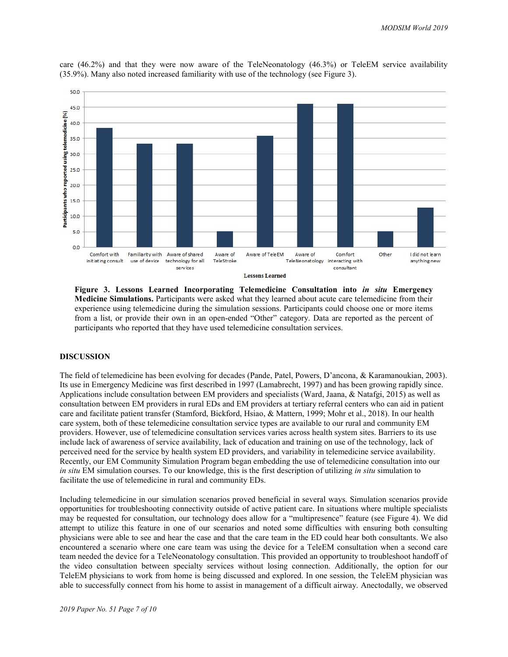

care (46.2%) and that they were now aware of the TeleNeonatology (46.3%) or TeleEM service availability (35.9%). Many also noted increased familiarity with use of the technology (see Figure 3).

Figure 3. Lessons Learned Incorporating Telemedicine Consultation into in situ Emergency Medicine Simulations. Participants were asked what they learned about acute care telemedicine from their experience using telemedicine during the simulation sessions. Participants could choose one or more items from a list, or provide their own in an open-ended "Other" category. Data are reported as the percent of participants who reported that they have used telemedicine consultation services.

### DISCUSSION

The field of telemedicine has been evolving for decades (Pande, Patel, Powers, D'ancona, & Karamanoukian, 2003). Its use in Emergency Medicine was first described in 1997 (Lamabrecht, 1997) and has been growing rapidly since. Applications include consultation between EM providers and specialists (Ward, Jaana, & Natafgi, 2015) as well as consultation between EM providers in rural EDs and EM providers at tertiary referral centers who can aid in patient care and facilitate patient transfer (Stamford, Bickford, Hsiao, & Mattern, 1999; Mohr et al., 2018). In our health care system, both of these telemedicine consultation service types are available to our rural and community EM providers. However, use of telemedicine consultation services varies across health system sites. Barriers to its use include lack of awareness of service availability, lack of education and training on use of the technology, lack of perceived need for the service by health system ED providers, and variability in telemedicine service availability. Recently, our EM Community Simulation Program began embedding the use of telemedicine consultation into our in situ EM simulation courses. To our knowledge, this is the first description of utilizing in situ simulation to facilitate the use of telemedicine in rural and community EDs.

Including telemedicine in our simulation scenarios proved beneficial in several ways. Simulation scenarios provide opportunities for troubleshooting connectivity outside of active patient care. In situations where multiple specialists may be requested for consultation, our technology does allow for a "multipresence" feature (see Figure 4). We did attempt to utilize this feature in one of our scenarios and noted some difficulties with ensuring both consulting physicians were able to see and hear the case and that the care team in the ED could hear both consultants. We also encountered a scenario where one care team was using the device for a TeleEM consultation when a second care team needed the device for a TeleNeonatology consultation. This provided an opportunity to troubleshoot handoff of the video consultation between specialty services without losing connection. Additionally, the option for our TeleEM physicians to work from home is being discussed and explored. In one session, the TeleEM physician was able to successfully connect from his home to assist in management of a difficult airway. Anectodally, we observed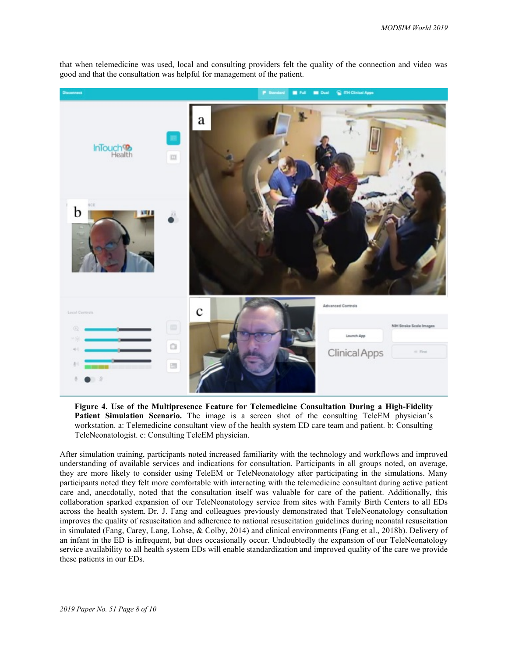

that when telemedicine was used, local and consulting providers felt the quality of the connection and video was good and that the consultation was helpful for management of the patient.

Figure 4. Use of the Multipresence Feature for Telemedicine Consultation During a High-Fidelity Patient Simulation Scenario. The image is a screen shot of the consulting TeleEM physician's workstation. a: Telemedicine consultant view of the health system ED care team and patient. b: Consulting TeleNeonatologist. c: Consulting TeleEM physician.

After simulation training, participants noted increased familiarity with the technology and workflows and improved understanding of available services and indications for consultation. Participants in all groups noted, on average, they are more likely to consider using TeleEM or TeleNeonatology after participating in the simulations. Many participants noted they felt more comfortable with interacting with the telemedicine consultant during active patient care and, anecdotally, noted that the consultation itself was valuable for care of the patient. Additionally, this collaboration sparked expansion of our TeleNeonatology service from sites with Family Birth Centers to all EDs across the health system. Dr. J. Fang and colleagues previously demonstrated that TeleNeonatology consultation improves the quality of resuscitation and adherence to national resuscitation guidelines during neonatal resuscitation in simulated (Fang, Carey, Lang, Lohse, & Colby, 2014) and clinical environments (Fang et al., 2018b). Delivery of an infant in the ED is infrequent, but does occasionally occur. Undoubtedly the expansion of our TeleNeonatology service availability to all health system EDs will enable standardization and improved quality of the care we provide these patients in our EDs.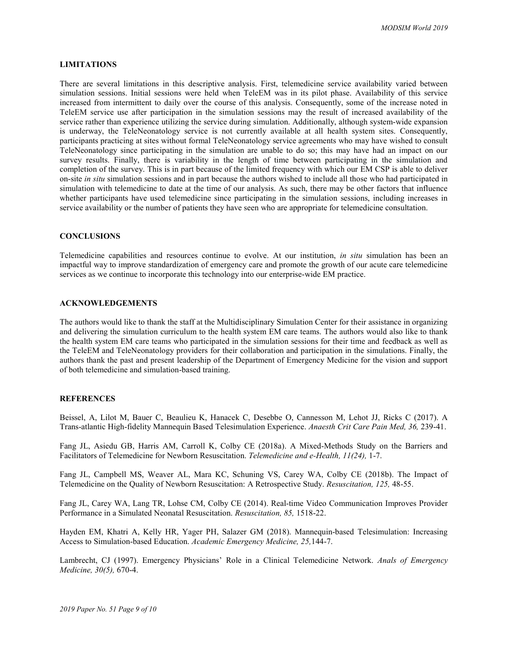# LIMITATIONS

There are several limitations in this descriptive analysis. First, telemedicine service availability varied between simulation sessions. Initial sessions were held when TeleEM was in its pilot phase. Availability of this service increased from intermittent to daily over the course of this analysis. Consequently, some of the increase noted in TeleEM service use after participation in the simulation sessions may the result of increased availability of the service rather than experience utilizing the service during simulation. Additionally, although system-wide expansion is underway, the TeleNeonatology service is not currently available at all health system sites. Consequently, participants practicing at sites without formal TeleNeonatology service agreements who may have wished to consult TeleNeonatology since participating in the simulation are unable to do so; this may have had an impact on our survey results. Finally, there is variability in the length of time between participating in the simulation and completion of the survey. This is in part because of the limited frequency with which our EM CSP is able to deliver on-site in situ simulation sessions and in part because the authors wished to include all those who had participated in simulation with telemedicine to date at the time of our analysis. As such, there may be other factors that influence whether participants have used telemedicine since participating in the simulation sessions, including increases in service availability or the number of patients they have seen who are appropriate for telemedicine consultation.

#### **CONCLUSIONS**

Telemedicine capabilities and resources continue to evolve. At our institution, in situ simulation has been an impactful way to improve standardization of emergency care and promote the growth of our acute care telemedicine services as we continue to incorporate this technology into our enterprise-wide EM practice.

#### ACKNOWLEDGEMENTS

The authors would like to thank the staff at the Multidisciplinary Simulation Center for their assistance in organizing and delivering the simulation curriculum to the health system EM care teams. The authors would also like to thank the health system EM care teams who participated in the simulation sessions for their time and feedback as well as the TeleEM and TeleNeonatology providers for their collaboration and participation in the simulations. Finally, the authors thank the past and present leadership of the Department of Emergency Medicine for the vision and support of both telemedicine and simulation-based training.

### **REFERENCES**

Beissel, A, Lilot M, Bauer C, Beaulieu K, Hanacek C, Desebbe O, Cannesson M, Lehot JJ, Ricks C (2017). A Trans-atlantic High-fidelity Mannequin Based Telesimulation Experience. Anaesth Crit Care Pain Med, 36, 239-41.

Fang JL, Asiedu GB, Harris AM, Carroll K, Colby CE (2018a). A Mixed-Methods Study on the Barriers and Facilitators of Telemedicine for Newborn Resuscitation. Telemedicine and e-Health, 11(24), 1-7.

Fang JL, Campbell MS, Weaver AL, Mara KC, Schuning VS, Carey WA, Colby CE (2018b). The Impact of Telemedicine on the Quality of Newborn Resuscitation: A Retrospective Study. Resuscitation, 125, 48-55.

Fang JL, Carey WA, Lang TR, Lohse CM, Colby CE (2014). Real-time Video Communication Improves Provider Performance in a Simulated Neonatal Resuscitation. Resuscitation, 85, 1518-22.

Hayden EM, Khatri A, Kelly HR, Yager PH, Salazer GM (2018). Mannequin-based Telesimulation: Increasing Access to Simulation-based Education. Academic Emergency Medicine, 25,144-7.

Lambrecht, CJ (1997). Emergency Physicians' Role in a Clinical Telemedicine Network. Anals of Emergency Medicine, 30(5), 670-4.